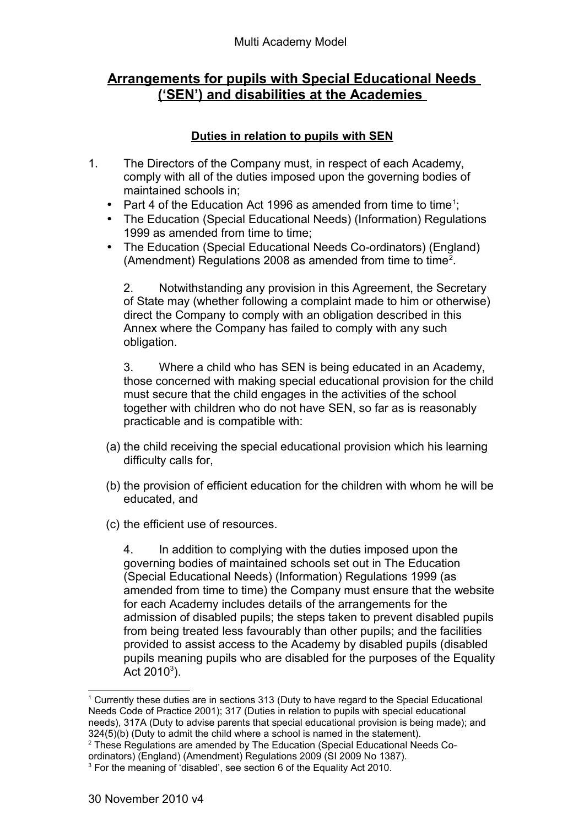## **Arrangements for pupils with Special Educational Needs ('SEN') and disabilities at the Academies**

## **Duties in relation to pupils with SEN**

- 1. The Directors of the Company must, in respect of each Academy, comply with all of the duties imposed upon the governing bodies of maintained schools in;
	- Part 4 of the Education Act [1](#page-0-0)996 as amended from time to time<sup>1</sup>;
	- The Education (Special Educational Needs) (Information) Regulations 1999 as amended from time to time;
	- The Education (Special Educational Needs Co-ordinators) (England) (Amendment) Regulations [2](#page-0-1)008 as amended from time to time<sup>2</sup>.

2. Notwithstanding any provision in this Agreement, the Secretary of State may (whether following a complaint made to him or otherwise) direct the Company to comply with an obligation described in this Annex where the Company has failed to comply with any such obligation.

3. Where a child who has SEN is being educated in an Academy, those concerned with making special educational provision for the child must secure that the child engages in the activities of the school together with children who do not have SEN, so far as is reasonably practicable and is compatible with:

- (a) the child receiving the special educational provision which his learning difficulty calls for,
- (b) the provision of efficient education for the children with whom he will be educated, and
- (c) the efficient use of resources.

4. In addition to complying with the duties imposed upon the governing bodies of maintained schools set out in The Education (Special Educational Needs) (Information) Regulations 1999 (as amended from time to time) the Company must ensure that the website for each Academy includes details of the arrangements for the admission of disabled pupils; the steps taken to prevent disabled pupils from being treated less favourably than other pupils; and the facilities provided to assist access to the Academy by disabled pupils (disabled pupils meaning pupils who are disabled for the purposes of the Equality Act 2010<sup>[3](#page-0-2)</sup>).

<span id="page-0-0"></span><sup>1</sup> Currently these duties are in sections 313 (Duty to have regard to the Special Educational Needs Code of Practice 2001); 317 (Duties in relation to pupils with special educational needs), 317A (Duty to advise parents that special educational provision is being made); and 324(5)(b) (Duty to admit the child where a school is named in the statement).

<span id="page-0-1"></span><sup>&</sup>lt;sup>2</sup> These Regulations are amended by The Education (Special Educational Needs Coordinators) (England) (Amendment) Regulations 2009 (SI 2009 No 1387).

<span id="page-0-2"></span><sup>&</sup>lt;sup>3</sup> For the meaning of 'disabled', see section 6 of the Equality Act 2010.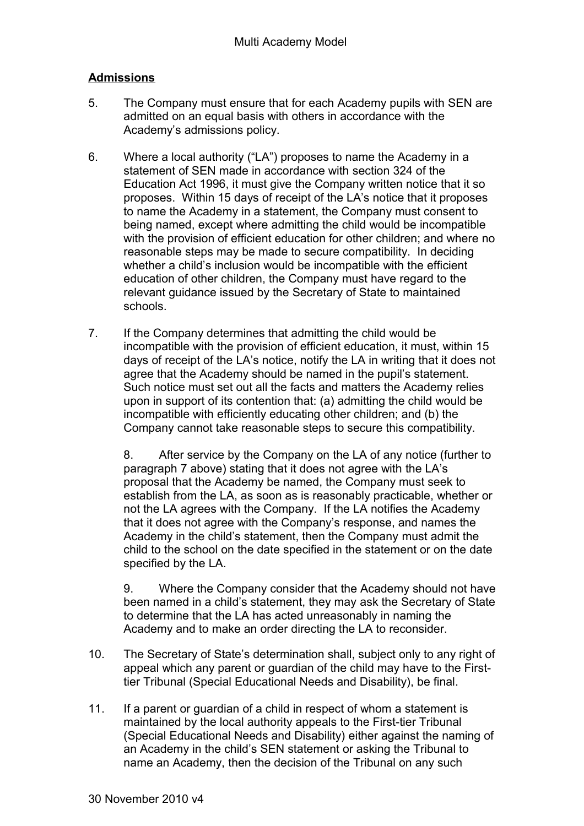## **Admissions**

- 5. The Company must ensure that for each Academy pupils with SEN are admitted on an equal basis with others in accordance with the Academy's admissions policy.
- 6. Where a local authority ("LA") proposes to name the Academy in a statement of SEN made in accordance with section 324 of the Education Act 1996, it must give the Company written notice that it so proposes. Within 15 days of receipt of the LA's notice that it proposes to name the Academy in a statement, the Company must consent to being named, except where admitting the child would be incompatible with the provision of efficient education for other children; and where no reasonable steps may be made to secure compatibility. In deciding whether a child's inclusion would be incompatible with the efficient education of other children, the Company must have regard to the relevant guidance issued by the Secretary of State to maintained schools.
- 7. If the Company determines that admitting the child would be incompatible with the provision of efficient education, it must, within 15 days of receipt of the LA's notice, notify the LA in writing that it does not agree that the Academy should be named in the pupil's statement. Such notice must set out all the facts and matters the Academy relies upon in support of its contention that: (a) admitting the child would be incompatible with efficiently educating other children; and (b) the Company cannot take reasonable steps to secure this compatibility.

8. After service by the Company on the LA of any notice (further to paragraph 7 above) stating that it does not agree with the LA's proposal that the Academy be named, the Company must seek to establish from the LA, as soon as is reasonably practicable, whether or not the LA agrees with the Company. If the LA notifies the Academy that it does not agree with the Company's response, and names the Academy in the child's statement, then the Company must admit the child to the school on the date specified in the statement or on the date specified by the LA.

9. Where the Company consider that the Academy should not have been named in a child's statement, they may ask the Secretary of State to determine that the LA has acted unreasonably in naming the Academy and to make an order directing the LA to reconsider.

- 10. The Secretary of State's determination shall, subject only to any right of appeal which any parent or guardian of the child may have to the Firsttier Tribunal (Special Educational Needs and Disability), be final.
- 11. If a parent or guardian of a child in respect of whom a statement is maintained by the local authority appeals to the First-tier Tribunal (Special Educational Needs and Disability) either against the naming of an Academy in the child's SEN statement or asking the Tribunal to name an Academy, then the decision of the Tribunal on any such